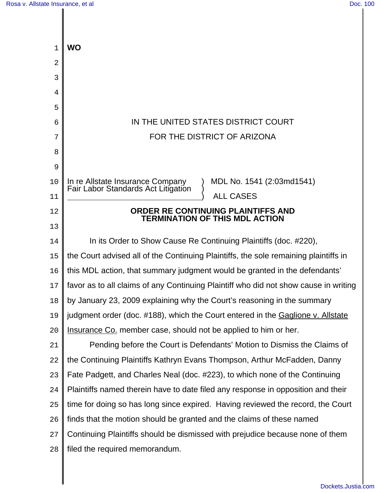| 1              | WO                                                                                                   |
|----------------|------------------------------------------------------------------------------------------------------|
| 2              |                                                                                                      |
| 3              |                                                                                                      |
| $\overline{4}$ |                                                                                                      |
| 5              |                                                                                                      |
| 6              | IN THE UNITED STATES DISTRICT COURT                                                                  |
| 7              | FOR THE DISTRICT OF ARIZONA                                                                          |
| 8              |                                                                                                      |
| 9              |                                                                                                      |
| 10             | MDL No. 1541 (2:03md1541)<br>In re Allstate Insurance Company<br>Fair Labor Standards Act Litigation |
| 11             | <b>ALL CASES</b>                                                                                     |
| 12             | ORDER RE CONTINUING PLAINTIFFS AND<br><b>TERMINATION OF THIS MDL ACTION</b>                          |
| 13             |                                                                                                      |
| 14             | In its Order to Show Cause Re Continuing Plaintiffs (doc. #220),                                     |
| 15             | the Court advised all of the Continuing Plaintiffs, the sole remaining plaintiffs in                 |
| 16             | this MDL action, that summary judgment would be granted in the defendants'                           |
| 17             | favor as to all claims of any Continuing Plaintiff who did not show cause in writing                 |
| 18             | by January 23, 2009 explaining why the Court's reasoning in the summary                              |
| 19             | judgment order (doc. #188), which the Court entered in the Gaglione v. Allstate                      |
| 20             | Insurance Co. member case, should not be applied to him or her.                                      |
| 21             | Pending before the Court is Defendants' Motion to Dismiss the Claims of                              |
| 22             | the Continuing Plaintiffs Kathryn Evans Thompson, Arthur McFadden, Danny                             |
| 23             | Fate Padgett, and Charles Neal (doc. #223), to which none of the Continuing                          |
| 24             | Plaintiffs named therein have to date filed any response in opposition and their                     |
| 25             | time for doing so has long since expired. Having reviewed the record, the Court                      |
| 26             | finds that the motion should be granted and the claims of these named                                |
| 27             | Continuing Plaintiffs should be dismissed with prejudice because none of them                        |
| 28             | filed the required memorandum.                                                                       |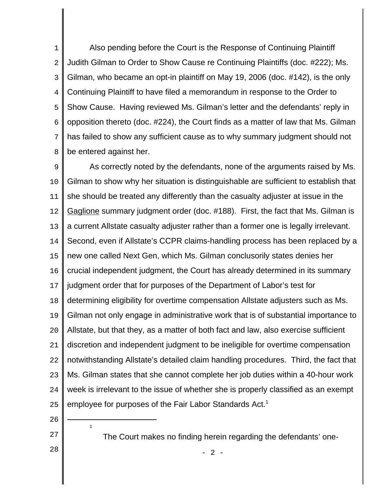1  $\overline{a}$ 3 4 5 6 7 8 Also pending before the Court is the Response of Continuing Plaintiff Judith Gilman to Order to Show Cause re Continuing Plaintiffs (doc. #222); Ms. Gilman, who became an opt-in plaintiff on May 19, 2006 (doc. #142), is the only Continuing Plaintiff to have filed a memorandum in response to the Order to Show Cause. Having reviewed Ms. Gilman's letter and the defendants' reply in opposition thereto (doc. #224), the Court finds as a matter of law that Ms. Gilman has failed to show any sufficient cause as to why summary judgment should not be entered against her.

9 10 11 12 13 14 15 16 17 18 19  $2.0$ 21 22 23 24 25 As correctly noted by the defendants, none of the arguments raised by Ms. Gilman to show why her situation is distinguishable are sufficient to establish that she should be treated any differently than the casualty adjuster at issue in the Gaglione summary judgment order (doc. #188). First, the fact that Ms. Gilman is a current Allstate casualty adjuster rather than a former one is legally irrelevant. Second, even if Allstate's CCPR claims-handling process has been replaced by a new one called Next Gen, which Ms. Gilman conclusorily states denies her crucial independent judgment, the Court has already determined in its summary judgment order that for purposes of the Department of Labor's test for determining eligibility for overtime compensation Allstate adjusters such as Ms. Gilman not only engage in administrative work that is of substantial importance to Allstate, but that they, as a matter of both fact and law, also exercise sufficient discretion and independent judgment to be ineligible for overtime compensation notwithstanding Allstate's detailed claim handling procedures. Third, the fact that Ms. Gilman states that she cannot complete her job duties within a 40-hour work week is irrelevant to the issue of whether she is properly classified as an exempt employee for purposes of the Fair Labor Standards Act.<sup>1</sup>

26

1

27

28

The Court makes no finding herein regarding the defendants' one-

 $2 -$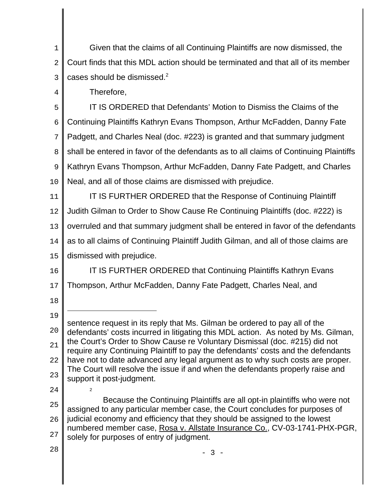1  $\overline{2}$ 3 Given that the claims of all Continuing Plaintiffs are now dismissed, the Court finds that this MDL action should be terminated and that all of its member cases should be dismissed.2

Therefore,

4

5 6 7 8 9 10 IT IS ORDERED that Defendants' Motion to Dismiss the Claims of the Continuing Plaintiffs Kathryn Evans Thompson, Arthur McFadden, Danny Fate Padgett, and Charles Neal (doc. #223) is granted and that summary judgment shall be entered in favor of the defendants as to all claims of Continuing Plaintiffs Kathryn Evans Thompson, Arthur McFadden, Danny Fate Padgett, and Charles Neal, and all of those claims are dismissed with prejudice.

11 12 13 14 15 IT IS FURTHER ORDERED that the Response of Continuing Plaintiff Judith Gilman to Order to Show Cause Re Continuing Plaintiffs (doc. #222) is overruled and that summary judgment shall be entered in favor of the defendants as to all claims of Continuing Plaintiff Judith Gilman, and all of those claims are dismissed with prejudice.

16 17 IT IS FURTHER ORDERED that Continuing Plaintiffs Kathryn Evans Thompson, Arthur McFadden, Danny Fate Padgett, Charles Neal, and

18

19  $2.0$ 21 22 23 sentence request in its reply that Ms. Gilman be ordered to pay all of the defendants' costs incurred in litigating this MDL action. As noted by Ms. Gilman, the Court's Order to Show Cause re Voluntary Dismissal (doc. #215) did not require any Continuing Plaintiff to pay the defendants' costs and the defendants have not to date advanced any legal argument as to why such costs are proper. The Court will resolve the issue if and when the defendants properly raise and support it post-judgment.

25 26 27 Because the Continuing Plaintiffs are all opt-in plaintiffs who were not assigned to any particular member case, the Court concludes for purposes of judicial economy and efficiency that they should be assigned to the lowest numbered member case, Rosa v. Allstate Insurance Co., CV-03-1741-PHX-PGR, solely for purposes of entry of judgment.

- 3 -

28

24

2